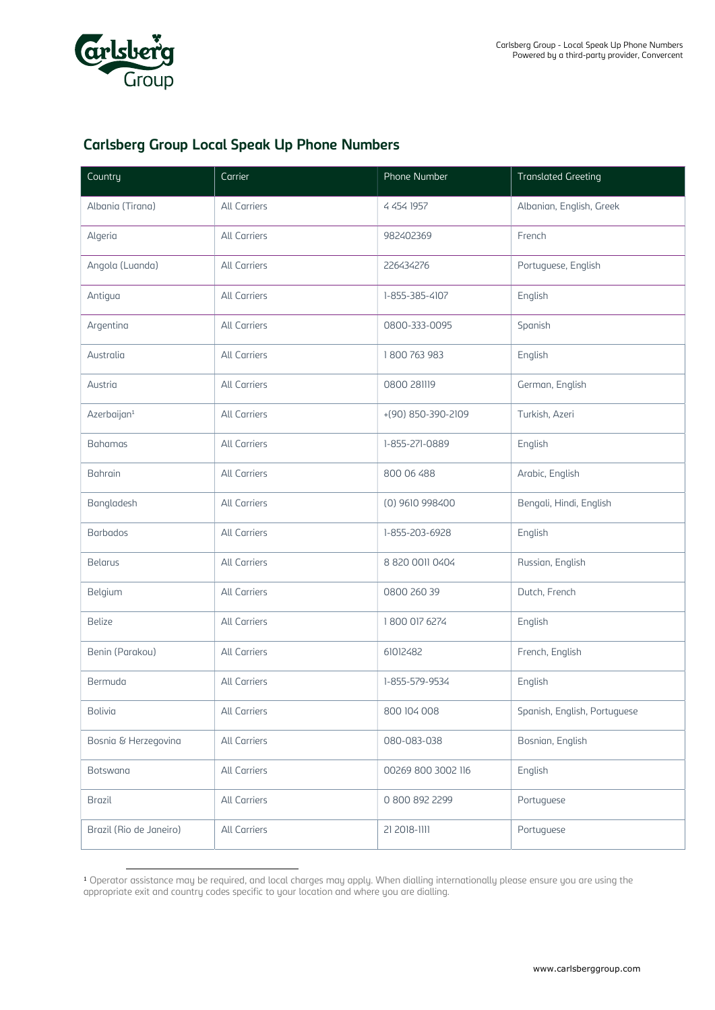

## Carlsberg Group Local Speak Up Phone Numbers

| Country                 | Carrier             | Phone Number       | <b>Translated Greeting</b>   |
|-------------------------|---------------------|--------------------|------------------------------|
| Albania (Tirana)        | <b>All Carriers</b> | 4 454 1957         | Albanian, English, Greek     |
| Algeria                 | <b>All Carriers</b> | 982402369          | French                       |
| Angola (Luanda)         | <b>All Carriers</b> | 226434276          | Portuguese, English          |
| Antigua                 | All Carriers        | 1-855-385-4107     | English                      |
| Argentina               | All Carriers        | 0800-333-0095      | Spanish                      |
| Australia               | <b>All Carriers</b> | 1800763983         | English                      |
| Austria                 | <b>All Carriers</b> | 0800 281119        | German, English              |
| Azerbaijan <sup>1</sup> | <b>All Carriers</b> | +(90) 850-390-2109 | Turkish, Azeri               |
| <b>Bahamas</b>          | <b>All Carriers</b> | 1-855-271-0889     | English                      |
| <b>Bahrain</b>          | <b>All Carriers</b> | 800 06 488         | Arabic, English              |
| Bangladesh              | All Carriers        | (0) 9610 998400    | Bengali, Hindi, English      |
| <b>Barbados</b>         | All Carriers        | 1-855-203-6928     | English                      |
| <b>Belarus</b>          | <b>All Carriers</b> | 8 820 0011 0404    | Russian, English             |
| Belgium                 | <b>All Carriers</b> | 0800 260 39        | Dutch, French                |
| <b>Belize</b>           | <b>All Carriers</b> | 1800 017 6274      | English                      |
| Benin (Parakou)         | <b>All Carriers</b> | 61012482           | French, English              |
| Bermuda                 | <b>All Carriers</b> | 1-855-579-9534     | English                      |
| <b>Bolivia</b>          | All Carriers        | 800 104 008        | Spanish, English, Portuguese |
| Bosnia & Herzegovina    | All Carriers        | 080-083-038        | Bosnian, English             |
| <b>Botswana</b>         | <b>All Carriers</b> | 00269 800 3002 116 | English                      |
| <b>Brazil</b>           | All Carriers        | 0 800 892 2299     | Portuguese                   |
| Brazil (Rio de Janeiro) | All Carriers        | 21 2018-1111       | Portuguese                   |

<sup>1</sup> Operator assistance may be required, and local charges may apply. When dialling internationally please ensure you are using the appropriate exit and country codes specific to your location and where you are dialling.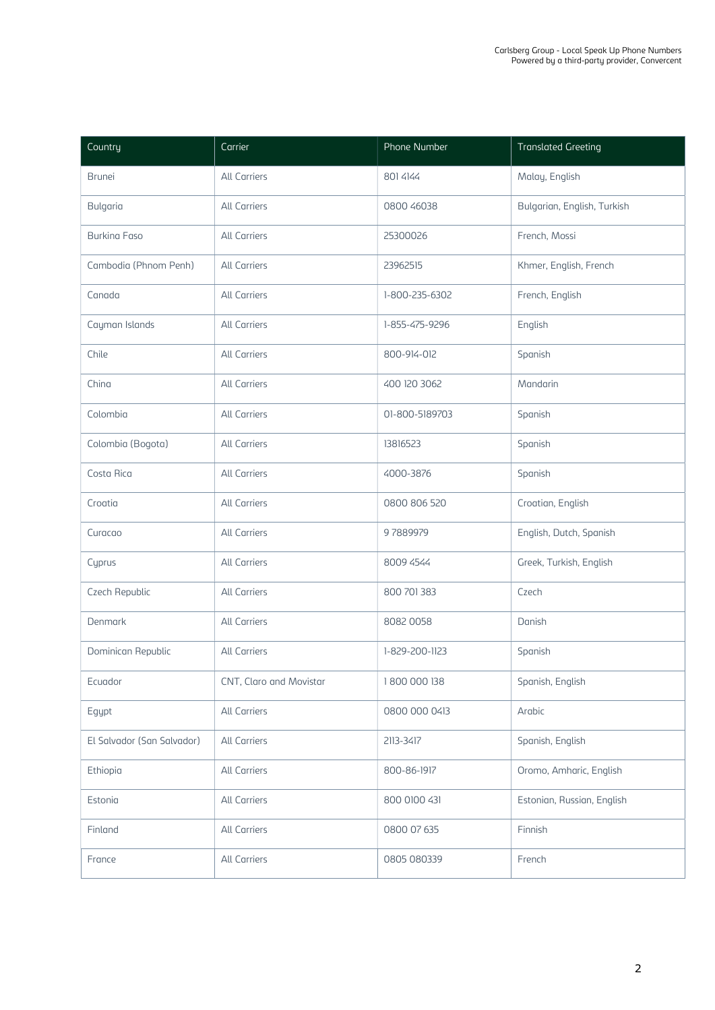| Country                    | Carrier                 | Phone Number   | <b>Translated Greeting</b>  |
|----------------------------|-------------------------|----------------|-----------------------------|
| <b>Brunei</b>              | All Carriers            | 801 4144       | Malay, English              |
| <b>Bulgaria</b>            | <b>All Carriers</b>     | 0800 46038     | Bulgarian, English, Turkish |
| <b>Burkina Faso</b>        | <b>All Carriers</b>     | 25300026       | French, Mossi               |
| Cambodia (Phnom Penh)      | <b>All Carriers</b>     | 23962515       | Khmer, English, French      |
| Canada                     | <b>All Carriers</b>     | 1-800-235-6302 | French, English             |
| Cayman Islands             | All Carriers            | 1-855-475-9296 | English                     |
| Chile                      | <b>All Carriers</b>     | 800-914-012    | Spanish                     |
| China                      | <b>All Carriers</b>     | 400 120 3062   | Mandarin                    |
| Colombia                   | <b>All Carriers</b>     | 01-800-5189703 | Spanish                     |
| Colombia (Bogota)          | <b>All Carriers</b>     | 13816523       | Spanish                     |
| Costa Rica                 | <b>All Carriers</b>     | 4000-3876      | Spanish                     |
| Croatia                    | All Carriers            | 0800 806 520   | Croatian, English           |
| Curacao                    | <b>All Carriers</b>     | 97889979       | English, Dutch, Spanish     |
| Cyprus                     | All Carriers            | 8009 4544      | Greek, Turkish, English     |
| Czech Republic             | <b>All Carriers</b>     | 800 701 383    | Czech                       |
| Denmark                    | <b>All Carriers</b>     | 8082 0058      | Danish                      |
| Dominican Republic         | All Carriers            | 1-829-200-1123 | Spanish                     |
| Ecuador                    | CNT, Claro and Movistar | 1800 000 138   | Spanish, English            |
| Egypt                      | <b>All Carriers</b>     | 0800 000 0413  | Arabic                      |
| El Salvador (San Salvador) | <b>All Carriers</b>     | 2113-3417      | Spanish, English            |
| Ethiopia                   | <b>All Carriers</b>     | 800-86-1917    | Oromo, Amharic, English     |
| Estonia                    | All Carriers            | 800 0100 431   | Estonian, Russian, English  |
| Finland                    | All Carriers            | 0800 07 635    | Finnish                     |
| France                     | All Carriers            | 0805 080339    | French                      |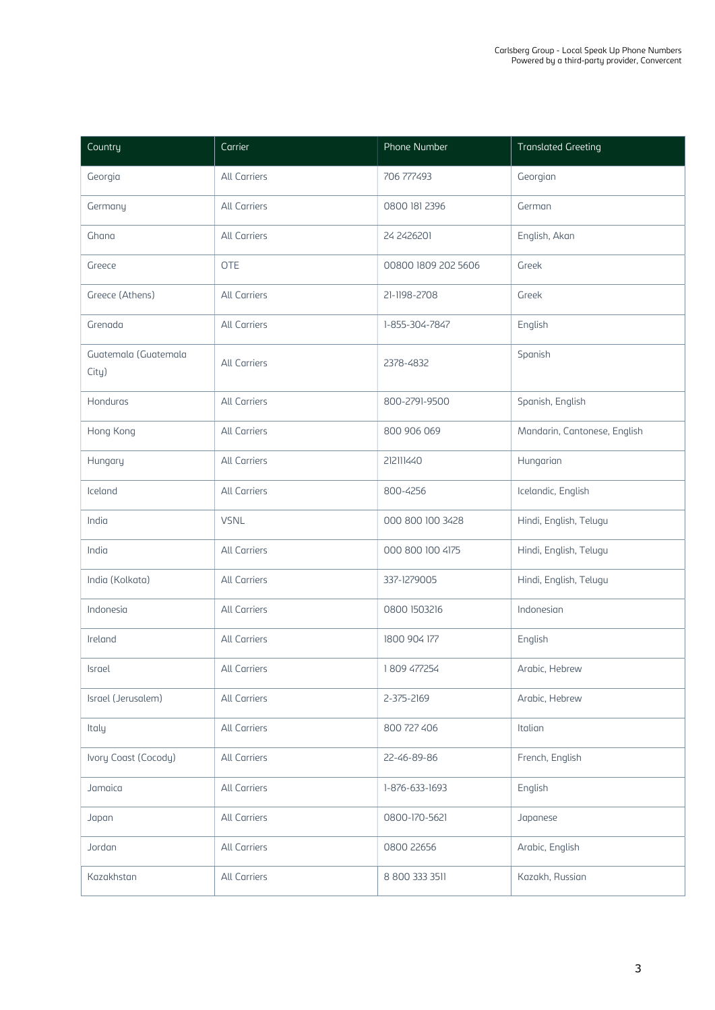| Country                       | Carrier             | Phone Number        | <b>Translated Greeting</b>   |
|-------------------------------|---------------------|---------------------|------------------------------|
| Georgia                       | <b>All Carriers</b> | 706 777493          | Georgian                     |
| Germany                       | <b>All Carriers</b> | 0800 181 2396       | German                       |
| Ghana                         | All Carriers        | 24 24 26 201        | English, Akan                |
| Greece                        | <b>OTE</b>          | 00800 1809 202 5606 | Greek                        |
| Greece (Athens)               | <b>All Carriers</b> | 21-1198-2708        | Greek                        |
| Grenada                       | All Carriers        | 1-855-304-7847      | English                      |
| Guatemala (Guatemala<br>City) | All Carriers        | 2378-4832           | Spanish                      |
| Honduras                      | <b>All Carriers</b> | 800-2791-9500       | Spanish, English             |
| Hong Kong                     | <b>All Carriers</b> | 800 906 069         | Mandarin, Cantonese, English |
| Hungary                       | All Carriers        | 212111440           | Hungarian                    |
| Iceland                       | All Carriers        | 800-4256            | Icelandic, English           |
| India                         | <b>VSNL</b>         | 000 800 100 3428    | Hindi, English, Telugu       |
| India                         | <b>All Carriers</b> | 000 800 100 4175    | Hindi, English, Telugu       |
| India (Kolkata)               | <b>All Carriers</b> | 337-1279005         | Hindi, English, Telugu       |
| Indonesia                     | <b>All Carriers</b> | 0800 1503216        | Indonesian                   |
| Ireland                       | All Carriers        | 1800 904 177        | English                      |
| Israel                        | <b>All Carriers</b> | 1809 477254         | Arabic, Hebrew               |
| Israel (Jerusalem)            | All Carriers        | 2-375-2169          | Arabic, Hebrew               |
| Italy                         | All Carriers        | 800 727 406         | Italian                      |
| Ivory Coast (Cocody)          | All Carriers        | 22-46-89-86         | French, English              |
| Jamaica                       | All Carriers        | 1-876-633-1693      | English                      |
| Japan                         | All Carriers        | 0800-170-5621       | Japanese                     |
| Jordan                        | All Carriers        | 0800 22656          | Arabic, English              |
| Kazakhstan                    | All Carriers        | 8 800 333 3511      | Kazakh, Russian              |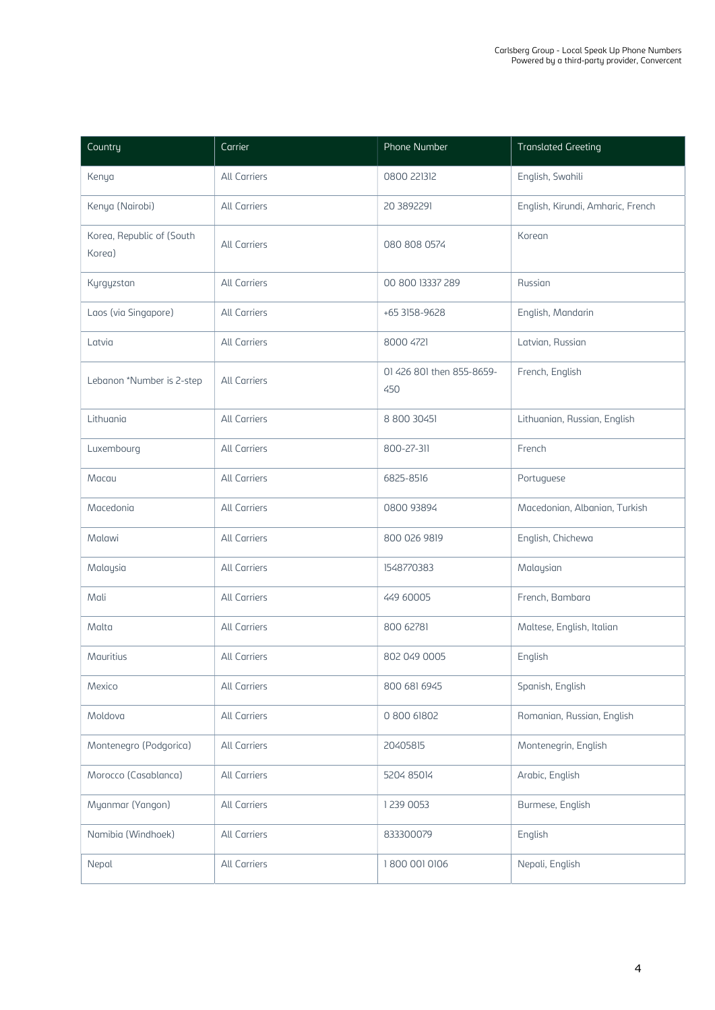| Country                             | Carrier             | Phone Number                     | <b>Translated Greeting</b>        |
|-------------------------------------|---------------------|----------------------------------|-----------------------------------|
| Kenya                               | <b>All Carriers</b> | 0800 221312                      | English, Swahili                  |
| Kenya (Nairobi)                     | <b>All Carriers</b> | 20 3892291                       | English, Kirundi, Amharic, French |
| Korea, Republic of (South<br>Korea) | <b>All Carriers</b> | 080 808 0574                     | Korean                            |
| Kyrgyzstan                          | All Carriers        | 00 800 13337 289                 | Russian                           |
| Laos (via Singapore)                | <b>All Carriers</b> | +65 3158-9628                    | English, Mandarin                 |
| Latvia                              | <b>All Carriers</b> | 8000 4721                        | Latvian, Russian                  |
| Lebanon *Number is 2-step           | <b>All Carriers</b> | 01 426 801 then 855-8659-<br>450 | French, English                   |
| Lithuania                           | <b>All Carriers</b> | 8 800 30451                      | Lithuanian, Russian, English      |
| Luxembourg                          | <b>All Carriers</b> | 800-27-311                       | French                            |
| Macau                               | <b>All Carriers</b> | 6825-8516                        | Portuguese                        |
| Macedonia                           | All Carriers        | 0800 93894                       | Macedonian, Albanian, Turkish     |
| Malawi                              | All Carriers        | 800 026 9819                     | English, Chichewa                 |
| Malaysia                            | <b>All Carriers</b> | 1548770383                       | Malaysian                         |
| Mali                                | <b>All Carriers</b> | 449 60005                        | French, Bambara                   |
| Malta                               | <b>All Carriers</b> | 800 62781                        | Maltese, English, Italian         |
| Mauritius                           | <b>All Carriers</b> | 802 049 0005                     | English                           |
| Mexico                              | All Carriers        | 800 681 6945                     | Spanish, English                  |
| Moldova                             | All Carriers        | 0 800 61802                      | Romanian, Russian, English        |
| Montenegro (Podgorica)              | <b>All Carriers</b> | 20405815                         | Montenegrin, English              |
| Morocco (Casablanca)                | <b>All Carriers</b> | 5204 85014                       | Arabic, English                   |
| Myanmar (Yangon)                    | All Carriers        | 1239 0053                        | Burmese, English                  |
| Namibia (Windhoek)                  | All Carriers        | 833300079                        | English                           |
| Nepal                               | All Carriers        | 1800 001 0106                    | Nepali, English                   |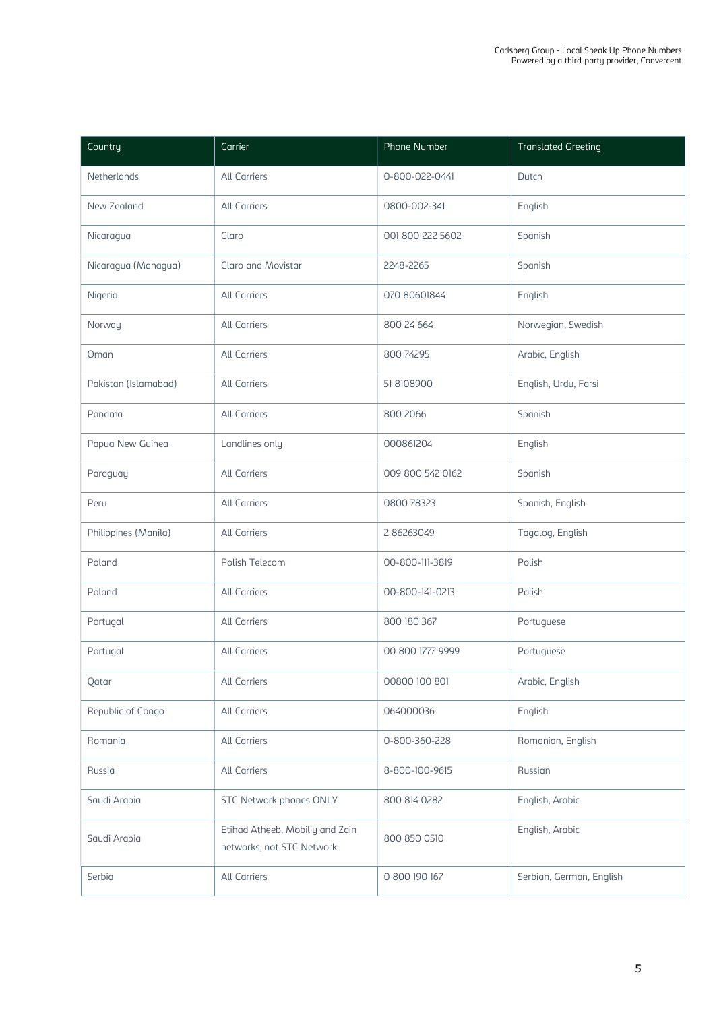| Country              | Carrier                                                      | Phone Number     | <b>Translated Greeting</b> |
|----------------------|--------------------------------------------------------------|------------------|----------------------------|
| Netherlands          | <b>All Carriers</b>                                          | 0-800-022-0441   | Dutch                      |
| New Zealand          | All Carriers                                                 | 0800-002-341     | English                    |
| Nicaragua            | Claro                                                        | 001 800 222 5602 | Spanish                    |
| Nicaragua (Managua)  | Claro and Movistar                                           | 2248-2265        | Spanish                    |
| Nigeria              | <b>All Carriers</b>                                          | 070 80601844     | English                    |
| Norway               | <b>All Carriers</b>                                          | 800 24 664       | Norwegian, Swedish         |
| Oman                 | All Carriers                                                 | 800 74295        | Arabic, English            |
| Pakistan (Islamabad) | <b>All Carriers</b>                                          | 51 8108900       | English, Urdu, Farsi       |
| Panama               | <b>All Carriers</b>                                          | 800 2066         | Spanish                    |
| Papua New Guinea     | Landlines only                                               | 000861204        | English                    |
| Paraguay             | <b>All Carriers</b>                                          | 009 800 542 0162 | Spanish                    |
| Peru                 | <b>All Carriers</b>                                          | 0800 78323       | Spanish, English           |
| Philippines (Manila) | All Carriers                                                 | 2 86263049       | Tagalog, English           |
| Poland               | Polish Telecom                                               | 00-800-111-3819  | Polish                     |
| Poland               | All Carriers                                                 | 00-800-141-0213  | Polish                     |
| Portugal             | <b>All Carriers</b>                                          | 800 180 367      | Portuguese                 |
| Portugal             | <b>All Carriers</b>                                          | 00 800 1777 9999 | Portuguese                 |
| Qatar                | All Carriers                                                 | 00800 100 801    | Arabic, English            |
| Republic of Congo    | <b>All Carriers</b>                                          | 064000036        | English                    |
| Romania              | All Carriers                                                 | 0-800-360-228    | Romanian, English          |
| Russia               | All Carriers                                                 | 8-800-100-9615   | Russian                    |
| Saudi Arabia         | <b>STC Network phones ONLY</b>                               | 800 814 0282     | English, Arabic            |
| Saudi Arabia         | Etihad Atheeb, Mobiliy and Zain<br>networks, not STC Network | 800 850 0510     | English, Arabic            |
| Serbia               | <b>All Carriers</b>                                          | 0 800 190 167    | Serbian, German, English   |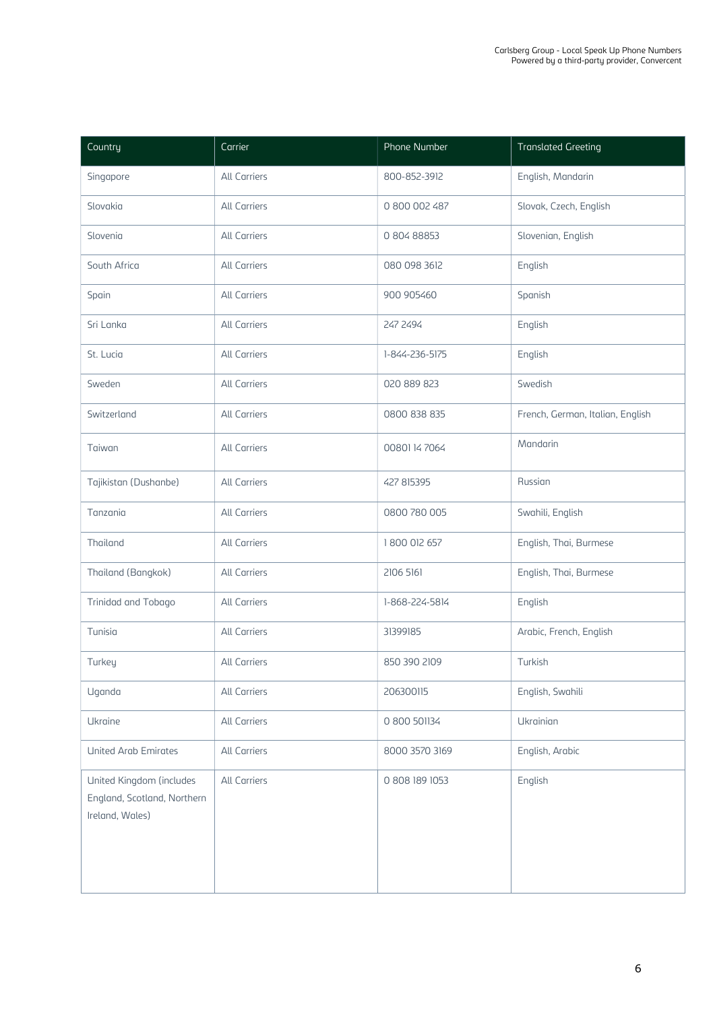| Country                                                                    | Carrier             | Phone Number   | <b>Translated Greeting</b>       |
|----------------------------------------------------------------------------|---------------------|----------------|----------------------------------|
| Singapore                                                                  | <b>All Carriers</b> | 800-852-3912   | English, Mandarin                |
| Slovakia                                                                   | <b>All Carriers</b> | 0 800 002 487  | Slovak, Czech, English           |
| Slovenia                                                                   | <b>All Carriers</b> | 0 804 88853    | Slovenian, English               |
| South Africa                                                               | <b>All Carriers</b> | 080 098 3612   | English                          |
| Spain                                                                      | <b>All Carriers</b> | 900 905460     | Spanish                          |
| Sri Lanka                                                                  | <b>All Carriers</b> | 247 2494       | English                          |
| St. Lucia                                                                  | <b>All Carriers</b> | 1-844-236-5175 | English                          |
| Sweden                                                                     | <b>All Carriers</b> | 020 889 823    | Swedish                          |
| Switzerland                                                                | <b>All Carriers</b> | 0800 838 835   | French, German, Italian, English |
| Taiwan                                                                     | All Carriers        | 00801147064    | Mandarin                         |
| Tajikistan (Dushanbe)                                                      | <b>All Carriers</b> | 427 815395     | Russian                          |
| Tanzania                                                                   | <b>All Carriers</b> | 0800 780 005   | Swahili, English                 |
| Thailand                                                                   | <b>All Carriers</b> | 1800 012 657   | English, Thai, Burmese           |
| Thailand (Bangkok)                                                         | <b>All Carriers</b> | 2106 5161      | English, Thai, Burmese           |
| Trinidad and Tobago                                                        | <b>All Carriers</b> | 1-868-224-5814 | English                          |
| Tunisia                                                                    | All Carriers        | 31399185       | Arabic, French, English          |
| Turkey                                                                     | All Carriers        | 850 390 2109   | Turkish                          |
| Uganda                                                                     | All Carriers        | 206300115      | English, Swahili                 |
| Ukraine                                                                    | All Carriers        | 0 800 501134   | Ukrainian                        |
| <b>United Arab Emirates</b>                                                | All Carriers        | 8000 3570 3169 | English, Arabic                  |
| United Kingdom (includes<br>England, Scotland, Northern<br>Ireland, Wales) | All Carriers        | 0 808 189 1053 | English                          |
|                                                                            |                     |                |                                  |